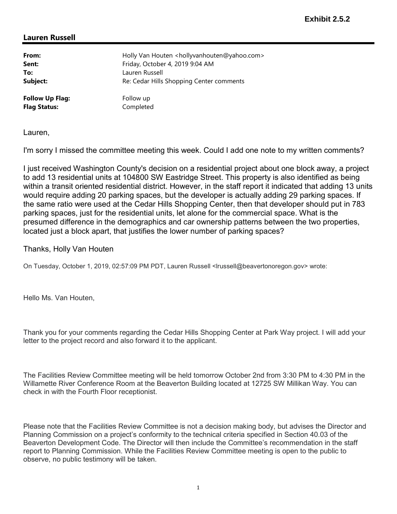## Lauren Russell

| From:                  | Holly Van Houten <hollyvanhouten@yahoo.com></hollyvanhouten@yahoo.com> |
|------------------------|------------------------------------------------------------------------|
| Sent:                  | Friday, October 4, 2019 9:04 AM                                        |
| To:                    | Lauren Russell                                                         |
| Subject:               | Re: Cedar Hills Shopping Center comments                               |
| <b>Follow Up Flag:</b> | Follow up                                                              |
| <b>Flag Status:</b>    | Completed                                                              |

Lauren,

I'm sorry I missed the committee meeting this week. Could I add one note to my written comments?

I just received Washington County's decision on a residential project about one block away, a project to add 13 residential units at 104800 SW Eastridge Street. This property is also identified as being within a transit oriented residential district. However, in the staff report it indicated that adding 13 units would require adding 20 parking spaces, but the developer is actually adding 29 parking spaces. If the same ratio were used at the Cedar Hills Shopping Center, then that developer should put in 783 parking spaces, just for the residential units, let alone for the commercial space. What is the presumed difference in the demographics and car ownership patterns between the two properties, located just a block apart, that justifies the lower number of parking spaces?

## Thanks, Holly Van Houten

On Tuesday, October 1, 2019, 02:57:09 PM PDT, Lauren Russell <lrussell@beavertonoregon.gov> wrote:

Hello Ms. Van Houten,

Thank you for your comments regarding the Cedar Hills Shopping Center at Park Way project. I will add your letter to the project record and also forward it to the applicant.

The Facilities Review Committee meeting will be held tomorrow October 2nd from 3:30 PM to 4:30 PM in the Willamette River Conference Room at the Beaverton Building located at 12725 SW Millikan Way. You can check in with the Fourth Floor receptionist.

Please note that the Facilities Review Committee is not a decision making body, but advises the Director and Planning Commission on a project's conformity to the technical criteria specified in Section 40.03 of the Beaverton Development Code. The Director will then include the Committee's recommendation in the staff report to Planning Commission. While the Facilities Review Committee meeting is open to the public to observe, no public testimony will be taken.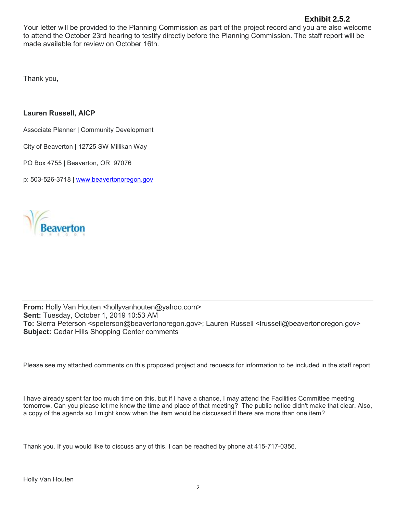## **Exhibit 2.5.2**

Your letter will be provided to the Planning Commission as part of the project record and you are also welcome to attend the October 23rd hearing to testify directly before the Planning Commission. The staff report will be made available for review on October 16th.

Thank you,

## Lauren Russell, AICP

Associate Planner | Community Development

City of Beaverton | 12725 SW Millikan Way

PO Box 4755 | Beaverton, OR 97076

p: 503-526-3718 | www.beavertonoregon.gov



From: Holly Van Houten <hollyvanhouten@yahoo.com> Sent: Tuesday, October 1, 2019 10:53 AM To: Sierra Peterson <speterson@beavertonoregon.gov>; Lauren Russell <lrussell@beavertonoregon.gov> Subject: Cedar Hills Shopping Center comments

Please see my attached comments on this proposed project and requests for information to be included in the staff report.

I have already spent far too much time on this, but if I have a chance, I may attend the Facilities Committee meeting tomorrow. Can you please let me know the time and place of that meeting? The public notice didn't make that clear. Also, a copy of the agenda so I might know when the item would be discussed if there are more than one item?

Thank you. If you would like to discuss any of this, I can be reached by phone at 415-717-0356.